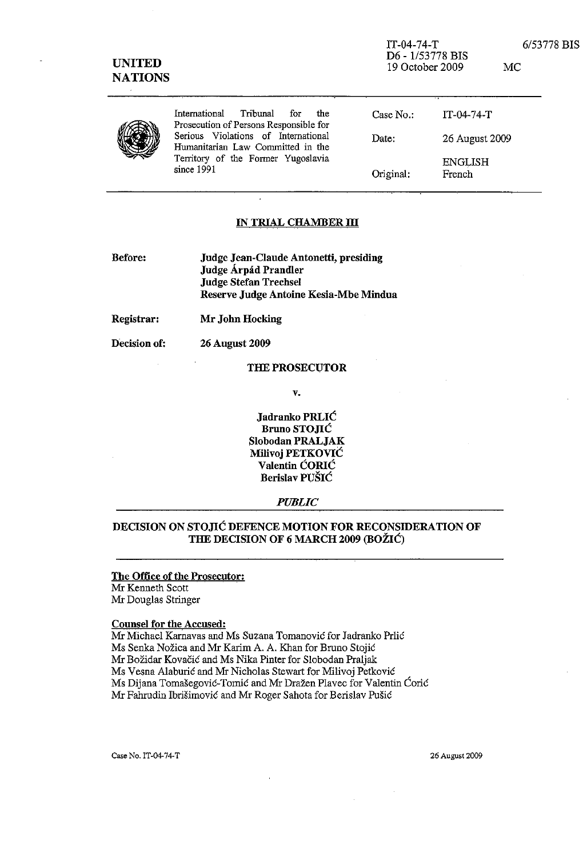| <b>UNITED</b> | <b>NATIONS</b>                                                                                                               |           | $IT-04-74-T$<br>D6 - 1/53778 BIS<br>19 October 2009 |  |
|---------------|------------------------------------------------------------------------------------------------------------------------------|-----------|-----------------------------------------------------|--|
|               | International<br>Tribunal<br>the<br>for.<br>Prosecution of Persons Responsible for                                           | Case No.: | $IT-04-74-T$                                        |  |
|               | Serious Violations of International<br>Humanitarian Law Committed in the<br>Territory of the Former Yugoslavia<br>since 1991 | Date:     | 26 August 2009                                      |  |
|               |                                                                                                                              | Original: | <b>ENGLISH</b><br>French                            |  |

#### **IN TRIAL CHAMBER III**

- Before: Judge Jean-Claude Antonetti, presiding Judge Árpád Prandler **Judge Stefan Trechsel** Reserve Judge Antoine Kesia-Mbe Mindua
- Registrar: Mr John Hocking

Decision of: **26 August 2009** 

#### THE PROSECUTOR

 $\mathbf{v}$ .

Jadranko PRLIĆ **Bruno STOJIĆ** Slobodan PRALJAK Milivoj PETKOVIĆ Valentin ĆORIĆ Berislav PUŠIĆ

#### **PUBLIC**

## DECISION ON STOJIĆ DEFENCE MOTION FOR RECONSIDERATION OF THE DECISION OF 6 MARCH 2009 (BOŽIĆ)

## The Office of the Prosecutor:

Mr Kenneth Scott Mr Douglas Stringer

## **Counsel for the Accused:**

Mr Michael Karnavas and Ms Suzana Tomanović for Jadranko Prlić Ms Senka Nožica and Mr Karim A. A. Khan for Bruno Stojić Mr Božidar Kovačić and Ms Nika Pinter for Slobodan Praljak Ms Vesna Alaburić and Mr Nicholas Stewart for Milivoj Petković Ms Dijana Tomašegović-Tomić and Mr Dražen Plavec for Valentin Ćorić Mr Fahrudin Ibrišimović and Mr Roger Sahota for Berislav Pušić

26 August 2009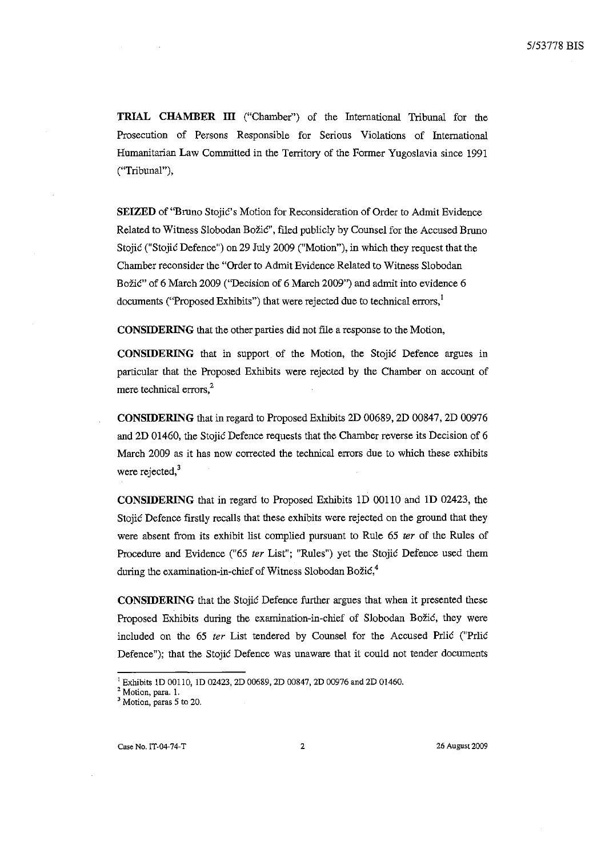**TRIAL** CНAМEER IП ("Chamber") of the Intemational Tribunal for the Prosecution of Persons Responsible for Serious Violations of Intemational Humanitarian Law Committed in the Territory of the Former Yugoslavia since 1991 ("Tribunal"),

**SEIZED** of "Bruno Stojic's Motion for Reconsideration of Order to Admit Evidence Related to Witness Slobodan Božić", filed publicly by Counsel for the Accused Bruno Stojic ("Stojic Defence") оп 29 July 2009 ("Motion"), in which they request that the Chamber reconsider the "Order to Admit Evidence Related to Witness Slobodan Božić" of 6 March 2009 ("Decision of 6 March 2009") and admit into evidence 6 documents ("Proposed Exhibits") that were rejected due to technical errors,<sup>1</sup>

**CONSIDERING** that the other parties did not file a response to the Motion,

**CONSIDERING** that in support of the Motion, the Stojic Defence argues in particular that the Proposed Exhibits were rejected by the Chamber on account of mere technical errors.<sup>2</sup>

**CONSIDERING** that in regard (о Proposed Exhihits 2D 00689, 2D 00847, 2D 00976 and 2D 01460, the Stojic Defence requests that the Chamber reverse its Decision of 6 March 2009 as it has now corrected the technical errors due to which these exhibits were rejected,<sup>3</sup>

**CONSIDERING** that in regard (о Proposed Exhihits 1D 00110 and 1D 02423, the Stojic Defence firstly recalls that these exhibits were rejected on the ground that they were absent from its exhihit list complied pursuant (о Rule 65 *ter* of the Rules of Procedure and Evidence ("65 *ter* List"; "Rules") yet the Stojić Defence used them during the examination-in-chief of Witness Slobodan Božić, $4$ 

**CONSIDERING** that the Stojic Defence further argues that when it presented these Proposed Exhibits during the examination-in-chief of Slobodan Božić, they were included оп the 65 *ter* List tendered Ьу Counsel for the Accused Prlic ("Prlic Defence"); that the Stojic Defence was unaware that it could not tender documents

<sup>&</sup>lt;sup>1</sup> Exhibits 1D 00110, 1D 02423, 2D 00689, 2D 00847, 2D 00976 and 2D 01460.

**<sup>2</sup> Motion,** рата. **1.** 

<sup>&</sup>lt;sup>3</sup> Motion, paras 5 to 20.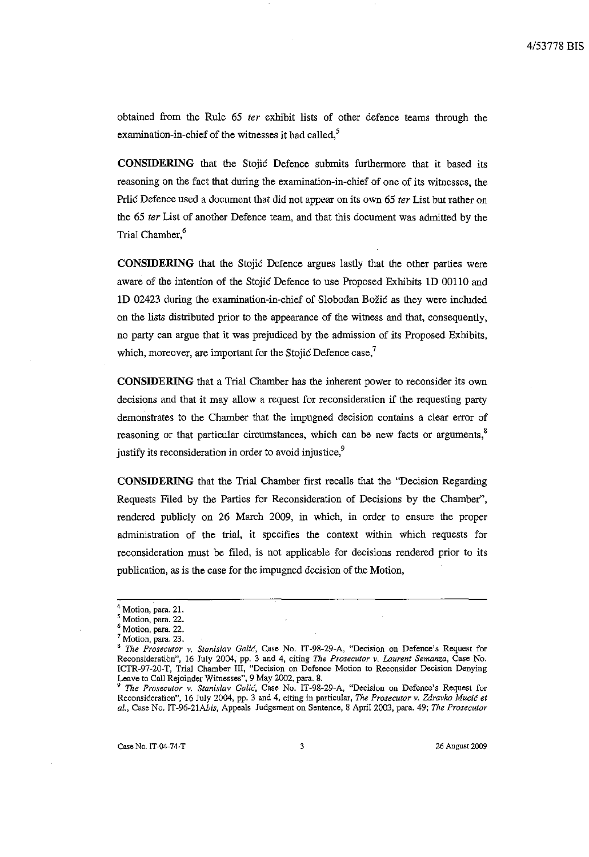obtained from the Rule 65 ter exhibit lists of other defence teams through the examination-in-chief of the witnesses it had called,<sup>5</sup>

**CONSIDERING** that the Stojic Defence submits furthermore that it based its reasoning on the fact that during the examination-in-chief of one of its witnesses, the Prlić Defence used a document that did not appear on its own 65 ter List but rather on the 65 ter List of another Defence team, and that this document was admitted by the Trial Chamber,<sup>6</sup>

CONSIDERING that the Stojić Defence argues lastly that the other parties were aware of the intention of the Stojić Defence to use Proposed Exhibits 1D 00110 and 1D 02423 during the examination-in-chief of Slobodan Božić as they were included on the lists distributed prior to the appearance of the witness and that, consequently, no party can argue that it was prejudiced by the admission of its Proposed Exhibits, which, moreover, are important for the Stojić Defence case, $\frac{7}{2}$ 

**CONSIDERING** that a Trial Chamber has the inherent power to reconsider its own decisions and that it may allow a request for reconsideration if the requesting party demonstrates to the Chamber that the impugned decision contains a clear error of reasoning or that particular circumstances, which can be new facts or arguments,<sup>8</sup> justify its reconsideration in order to avoid injustice,<sup>9</sup>

**CONSIDERING** that the Trial Chamber first recalls that the "Decision Regarding Requests Filed by the Parties for Reconsideration of Decisions by the Chamber", rendered publicly on 26 March 2009, in which, in order to ensure the proper administration of the trial, it specifies the context within which requests for reconsideration must be filed, is not applicable for decisions rendered prior to its publication, as is the case for the impugned decision of the Motion,

Case No. IT-04-74-T

Motion, para. 21.

<sup>&</sup>lt;sup>5</sup> Motion, para. 22.

Motion, para. 22.

<sup>&</sup>lt;sup>7</sup> Motion, para. 23.

<sup>&</sup>lt;sup>8</sup> The Prosecutor v. Stanislav Galić, Case No. IT-98-29-A, "Decision on Defence's Request for Reconsideration", 16 July 2004, pp. 3 and 4, citing *The Prosecutor v. Laurent Semanza*, Case No. ICTR-97-20-T, Trial Chamber III, "Decision on Defence Motion to Reconsider Decision Denying Leave to Call Rejoinder Witnesse

Reconsideration", 16 July 2004, pp. 3 and 4, citing in particular, The Prosecutor v. Zdravko Mucić et al., Case No. IT-96-21Abis, Appeals Judgement on Sentence, 8 April 2003, para. 49; The Prosecutor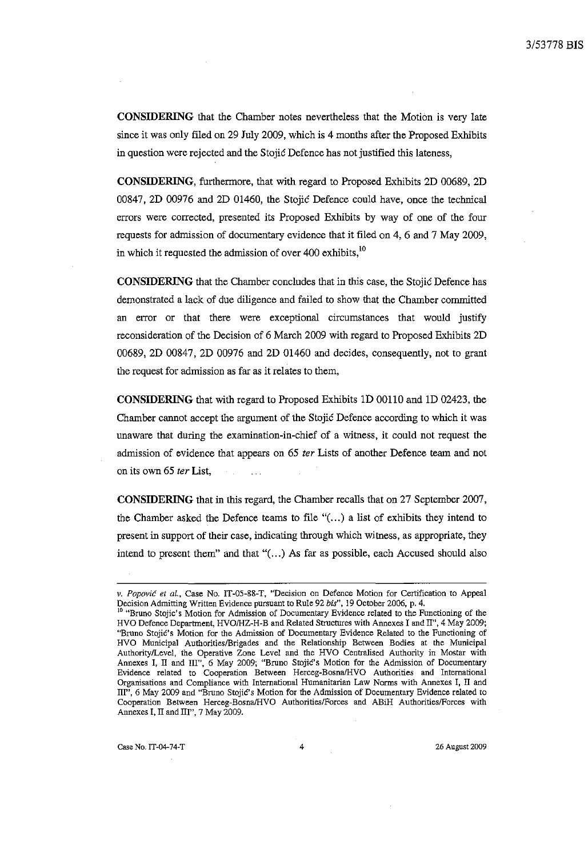**CONSIDERING** that the Chamber notes nevertheless that the Motion is very late since it was only filed on 29 July 2009, which is 4 months after the Proposed Exhibits in question were rejected and the Stojić Defence has not justified this lateness,

CONSIDERING, furthermore, that with regard to Proposed Exhibits 2D 00689, 2D 00847, 2D 00976 and 2D 01460, the Stojić Defence could have, once the technical errors were corrected, presented its Proposed Exhibits by way of one of the four requests for admission of documentary evidence that it filed on 4, 6 and 7 May 2009, in which it requested the admission of over 400 exhibits,<sup>10</sup>

CONSIDERING that the Chamber concludes that in this case, the Stojić Defence has demonstrated a lack of due diligence and failed to show that the Chamber committed an error or that there were exceptional circumstances that would justify reconsideration of the Decision of 6 March 2009 with regard to Proposed Exhibits 2D 00689, 2D 00847, 2D 00976 and 2D 01460 and decides, consequently, not to grant the request for admission as far as it relates to them,

CONSIDERING that with regard to Proposed Exhibits 1D 00110 and 1D 02423, the Chamber cannot accept the argument of the Stojić Defence according to which it was unaware that during the examination-in-chief of a witness, it could not request the admission of evidence that appears on 65 ter Lists of another Defence team and not on its own 65 ter List.

CONSIDERING that in this regard, the Chamber recalls that on 27 September 2007, the Chamber asked the Defence teams to file " $(...)$  a list of exhibits they intend to present in support of their case, indicating through which witness, as appropriate, they intend to present them" and that "(...) As far as possible, each Accused should also

Case No. IT-04-74-T

 $\overline{4}$ 

v. Popović et al., Case No. IT-05-88-T, "Decision on Defence Motion for Certification to Appeal Decision Admitting Written Evidence pursuant to Rule 92 bis", 19 October 2006, p. 4.<br><sup>10</sup> "Bruno Stojic's Motion for Admission of Documentary Evidence related to the Functioning of the

HVO Defence Department, HVO/HZ-H-B and Related Structures with Annexes I and II", 4 May 2009; "Bruno Stojić's Motion for the Admission of Documentary Evidence Related to the Functioning of HVO Municipal Authorities/Brigades and the Relationship Between Bodies at the Municipal Authority/Level, the Operative Zone Level and the Noutronsing Between Bodies at the Multicipal<br>Authority/Level, the Operative Zone Level and the HVO Centralised Authority in Mostar with<br>Annexes I, II and III", 6 May 2009; Organisations and Compliance with International Humanitarian Law Norms with Annexes I, II and III", 6 May 2009 and "Bruno Stojić's Motion for the Admission of Documentary Evidence related to Cooperation Between Herceg-Bosna/HVO Authorities/Forces and ABiH Authorities/Forces with Annexes I, II and III", 7 May 2009.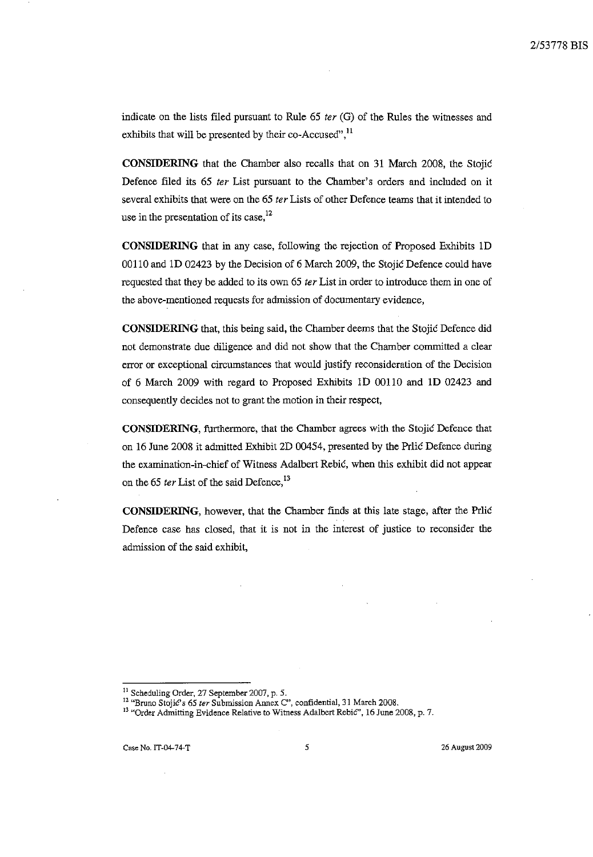indicate on the lists filed pursuant to Rule 65 ter  $(G)$  of the Rules the witnesses and exhibits that will be presented by their co-Accused",<sup>11</sup>

**CONSIDERING** that the Chamber also recalls that on 31 March 2008, the Stojić Defence filed its 65 ter List pursuant to the Chamber's orders and included on it several exhibits that were on the 65 ter Lists of other Defence teams that it intended to use in the presentation of its case,  $^{12}$ 

CONSIDERING that in any case, following the rejection of Proposed Exhibits 1D 00110 and 1D 02423 by the Decision of 6 March 2009, the Stojić Defence could have requested that they be added to its own 65 ter List in order to introduce them in one of the above-mentioned requests for admission of documentary evidence,

**CONSIDERING** that, this being said, the Chamber deems that the Stojić Defence did not demonstrate due diligence and did not show that the Chamber committed a clear error or exceptional circumstances that would justify reconsideration of the Decision of 6 March 2009 with regard to Proposed Exhibits 1D 00110 and 1D 02423 and consequently decides not to grant the motion in their respect,

CONSIDERING, furthermore, that the Chamber agrees with the Stojić Defence that on 16 June 2008 it admitted Exhibit 2D 00454, presented by the Prlić Defence during the examination-in-chief of Witness Adalbert Rebić, when this exhibit did not appear on the 65 ter List of the said Defence,<sup>13</sup>

CONSIDERING, however, that the Chamber finds at this late stage, after the Prlić Defence case has closed, that it is not in the interest of justice to reconsider the admission of the said exhibit,

<sup>&</sup>lt;sup>11</sup> Scheduling Order, 27 September 2007, p. 5.<br><sup>12</sup> "Bruno Stojić's 65 *ter* Submission Annex C", confidential, 31 March 2008.<br><sup>13</sup> "Order Admitting Evidence Relative to Witness Adalbert Rebić", 16 June 2008, p. 7.